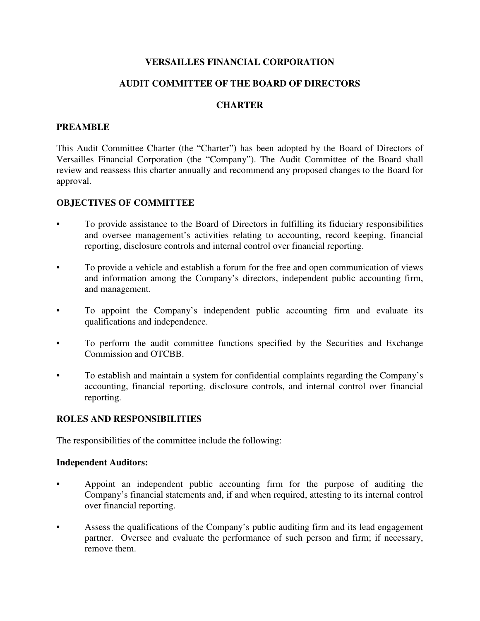# **VERSAILLES FINANCIAL CORPORATION**

# **AUDIT COMMITTEE OF THE BOARD OF DIRECTORS**

## **CHARTER**

## **PREAMBLE**

This Audit Committee Charter (the "Charter") has been adopted by the Board of Directors of Versailles Financial Corporation (the "Company"). The Audit Committee of the Board shall review and reassess this charter annually and recommend any proposed changes to the Board for approval.

## **OBJECTIVES OF COMMITTEE**

- To provide assistance to the Board of Directors in fulfilling its fiduciary responsibilities and oversee management's activities relating to accounting, record keeping, financial reporting, disclosure controls and internal control over financial reporting.
- To provide a vehicle and establish a forum for the free and open communication of views and information among the Company's directors, independent public accounting firm, and management.
- To appoint the Company's independent public accounting firm and evaluate its qualifications and independence.
- To perform the audit committee functions specified by the Securities and Exchange Commission and OTCBB.
- To establish and maintain a system for confidential complaints regarding the Company's accounting, financial reporting, disclosure controls, and internal control over financial reporting.

## **ROLES AND RESPONSIBILITIES**

The responsibilities of the committee include the following:

#### **Independent Auditors:**

- Appoint an independent public accounting firm for the purpose of auditing the Company's financial statements and, if and when required, attesting to its internal control over financial reporting.
- Assess the qualifications of the Company's public auditing firm and its lead engagement partner. Oversee and evaluate the performance of such person and firm; if necessary, remove them.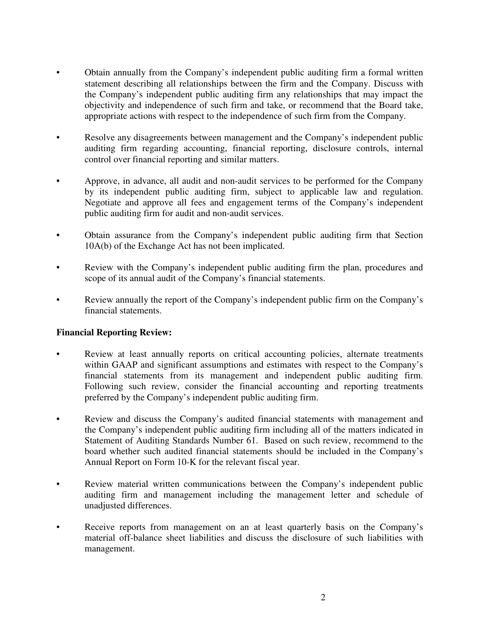- Obtain annually from the Company's independent public auditing firm a formal written statement describing all relationships between the firm and the Company. Discuss with the Company's independent public auditing firm any relationships that may impact the objectivity and independence of such firm and take, or recommend that the Board take, appropriate actions with respect to the independence of such firm from the Company.
- Resolve any disagreements between management and the Company's independent public auditing firm regarding accounting, financial reporting, disclosure controls, internal control over financial reporting and similar matters.
- Approve, in advance, all audit and non-audit services to be performed for the Company by its independent public auditing firm, subject to applicable law and regulation. Negotiate and approve all fees and engagement terms of the Company's independent public auditing firm for audit and non-audit services.
- Obtain assurance from the Company's independent public auditing firm that Section 10A(b) of the Exchange Act has not been implicated.
- Review with the Company's independent public auditing firm the plan, procedures and scope of its annual audit of the Company's financial statements.
- Review annually the report of the Company's independent public firm on the Company's financial statements.

# **Financial Reporting Review:**

- Review at least annually reports on critical accounting policies, alternate treatments within GAAP and significant assumptions and estimates with respect to the Company's financial statements from its management and independent public auditing firm. Following such review, consider the financial accounting and reporting treatments preferred by the Company's independent public auditing firm.
- Review and discuss the Company's audited financial statements with management and the Company's independent public auditing firm including all of the matters indicated in Statement of Auditing Standards Number 61. Based on such review, recommend to the board whether such audited financial statements should be included in the Company's Annual Report on Form 10-K for the relevant fiscal year.
- Review material written communications between the Company's independent public auditing firm and management including the management letter and schedule of unadjusted differences.
- Receive reports from management on an at least quarterly basis on the Company's material off-balance sheet liabilities and discuss the disclosure of such liabilities with management.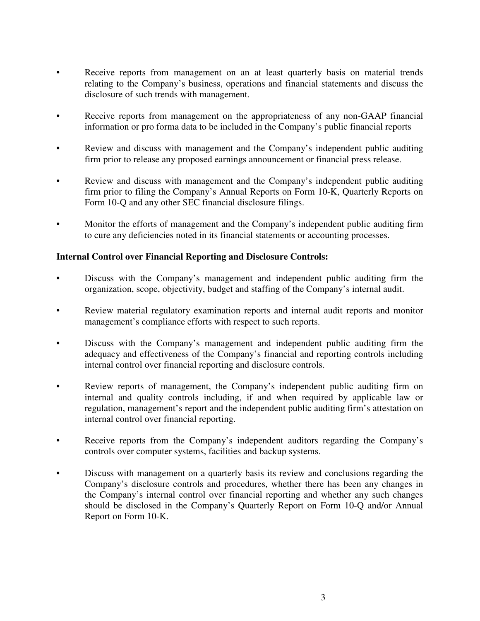- Receive reports from management on an at least quarterly basis on material trends relating to the Company's business, operations and financial statements and discuss the disclosure of such trends with management.
- Receive reports from management on the appropriateness of any non-GAAP financial information or pro forma data to be included in the Company's public financial reports
- Review and discuss with management and the Company's independent public auditing firm prior to release any proposed earnings announcement or financial press release.
- Review and discuss with management and the Company's independent public auditing firm prior to filing the Company's Annual Reports on Form 10-K, Quarterly Reports on Form 10-Q and any other SEC financial disclosure filings.
- Monitor the efforts of management and the Company's independent public auditing firm to cure any deficiencies noted in its financial statements or accounting processes.

## **Internal Control over Financial Reporting and Disclosure Controls:**

- Discuss with the Company's management and independent public auditing firm the organization, scope, objectivity, budget and staffing of the Company's internal audit.
- Review material regulatory examination reports and internal audit reports and monitor management's compliance efforts with respect to such reports.
- Discuss with the Company's management and independent public auditing firm the adequacy and effectiveness of the Company's financial and reporting controls including internal control over financial reporting and disclosure controls.
- Review reports of management, the Company's independent public auditing firm on internal and quality controls including, if and when required by applicable law or regulation, management's report and the independent public auditing firm's attestation on internal control over financial reporting.
- Receive reports from the Company's independent auditors regarding the Company's controls over computer systems, facilities and backup systems.
- Discuss with management on a quarterly basis its review and conclusions regarding the Company's disclosure controls and procedures, whether there has been any changes in the Company's internal control over financial reporting and whether any such changes should be disclosed in the Company's Quarterly Report on Form 10-Q and/or Annual Report on Form 10-K.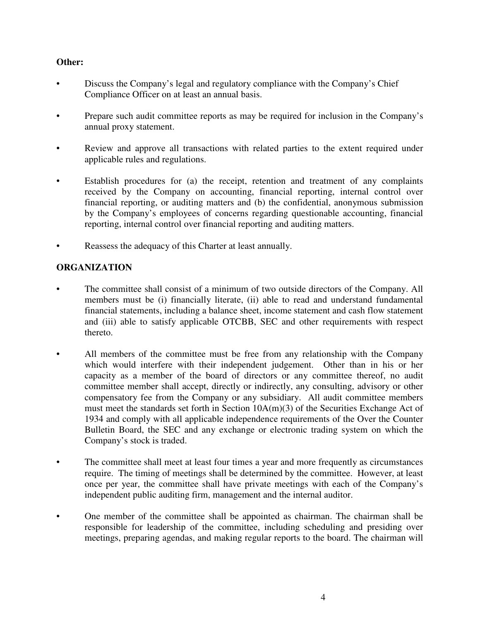# **Other:**

- Discuss the Company's legal and regulatory compliance with the Company's Chief Compliance Officer on at least an annual basis.
- Prepare such audit committee reports as may be required for inclusion in the Company's annual proxy statement.
- Review and approve all transactions with related parties to the extent required under applicable rules and regulations.
- Establish procedures for (a) the receipt, retention and treatment of any complaints received by the Company on accounting, financial reporting, internal control over financial reporting, or auditing matters and (b) the confidential, anonymous submission by the Company's employees of concerns regarding questionable accounting, financial reporting, internal control over financial reporting and auditing matters.
- Reassess the adequacy of this Charter at least annually.

# **ORGANIZATION**

- The committee shall consist of a minimum of two outside directors of the Company. All members must be (i) financially literate, (ii) able to read and understand fundamental financial statements, including a balance sheet, income statement and cash flow statement and (iii) able to satisfy applicable OTCBB, SEC and other requirements with respect thereto.
- All members of the committee must be free from any relationship with the Company which would interfere with their independent judgement. Other than in his or her capacity as a member of the board of directors or any committee thereof, no audit committee member shall accept, directly or indirectly, any consulting, advisory or other compensatory fee from the Company or any subsidiary. All audit committee members must meet the standards set forth in Section 10A(m)(3) of the Securities Exchange Act of 1934 and comply with all applicable independence requirements of the Over the Counter Bulletin Board, the SEC and any exchange or electronic trading system on which the Company's stock is traded.
- The committee shall meet at least four times a year and more frequently as circumstances require. The timing of meetings shall be determined by the committee. However, at least once per year, the committee shall have private meetings with each of the Company's independent public auditing firm, management and the internal auditor.
- One member of the committee shall be appointed as chairman. The chairman shall be responsible for leadership of the committee, including scheduling and presiding over meetings, preparing agendas, and making regular reports to the board. The chairman will